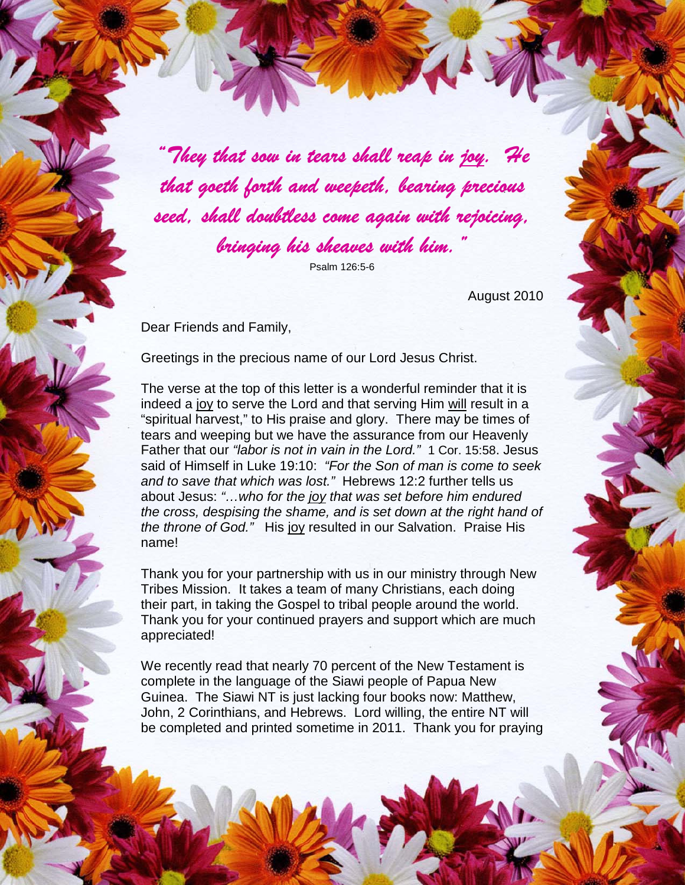"They that sow in tears shall reap in joy. He that goeth forth and weepeth, bearing precious seed, shall doubtless come again with rejoicing, bringing his sheaves with him.

Psalm 126:5-6

August 2010

Dear Friends and Family,

Greetings in the precious name of our Lord Jesus Christ.

The verse at the top of this letter is a wonderful reminder that it is indeed a joy to serve the Lord and that serving Him will result in a "spiritual harvest," to His praise and glory. There may be times of tears and weeping but we have the assurance from our Heavenly Father that our "labor is not in vain in the Lord." 1 Cor. 15:58. Jesus said of Himself in Luke 19:10: "For the Son of man is come to seek and to save that which was lost." Hebrews 12:2 further tells us about Jesus: "...who for the joy that was set before him endured the cross, despising the shame, and is set down at the right hand of the throne of God." His joy resulted in our Salvation. Praise His name!

Thank you for your partnership with us in our ministry through New Tribes Mission. It takes a team of many Christians, each doing their part, in taking the Gospel to tribal people around the world. Thank you for your continued prayers and support which are much appreciated!

We recently read that nearly 70 percent of the New Testament is complete in the language of the Siawi people of Papua New Guinea. The Siawi NT is just lacking four books now: Matthew, John, 2 Corinthians, and Hebrews. Lord willing, the entire NT will be completed and printed sometime in 2011. Thank you for praying